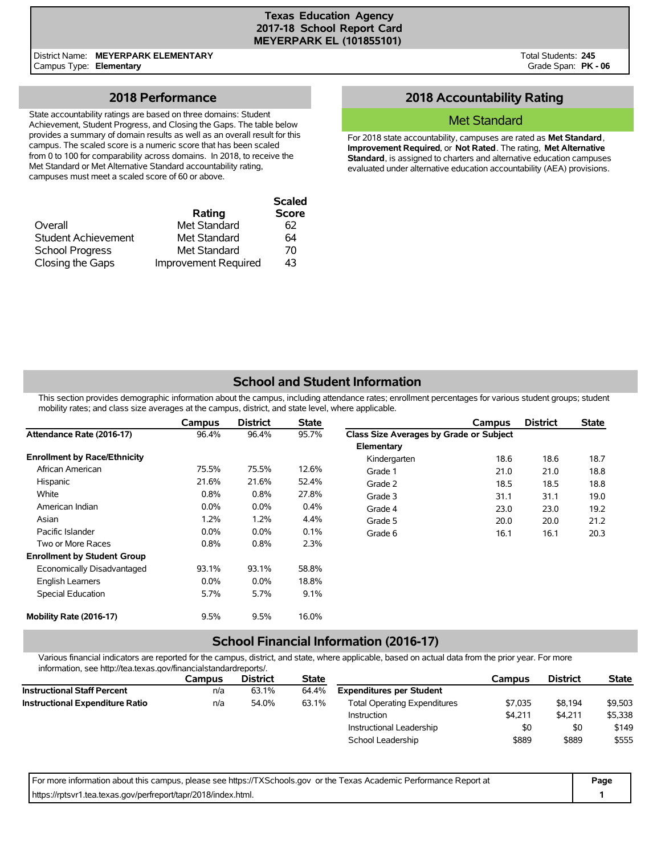## **Texas Education Agency 2017-18 School Report Card MEYERPARK EL (101855101)**

District Name: **MEYERPARK ELEMENTARY** Campus Type: **Elementary**

Total Students: **245** Grade Span: **PK - 06**

# **2018 Performance**

State accountability ratings are based on three domains: Student Achievement, Student Progress, and Closing the Gaps. The table below provides a summary of domain results as well as an overall result for this campus. The scaled score is a numeric score that has been scaled from 0 to 100 for comparability across domains. In 2018, to receive the Met Standard or Met Alternative Standard accountability rating, campuses must meet a scaled score of 60 or above.

|                        |                             | <b>Scaled</b> |
|------------------------|-----------------------------|---------------|
|                        | Rating                      | <b>Score</b>  |
| Overall                | Met Standard                | 62            |
| Student Achievement    | Met Standard                | 64            |
| <b>School Progress</b> | Met Standard                | 70            |
| Closing the Gaps       | <b>Improvement Required</b> | 43            |

# **2018 Accountability Rating**

## Met Standard

For 2018 state accountability, campuses are rated as **Met Standard**, **Improvement Required**, or **Not Rated**. The rating, **Met Alternative Standard**, is assigned to charters and alternative education campuses evaluated under alternative education accountability (AEA) provisions.

# **School and Student Information**

This section provides demographic information about the campus, including attendance rates; enrollment percentages for various student groups; student mobility rates; and class size averages at the campus, district, and state level, where applicable.

|                                     | Campus  | <b>District</b> | <b>State</b> |                                         | Campus | <b>District</b> | <b>State</b> |
|-------------------------------------|---------|-----------------|--------------|-----------------------------------------|--------|-----------------|--------------|
| Attendance Rate (2016-17)           | 96.4%   | 96.4%           | 95.7%        | Class Size Averages by Grade or Subject |        |                 |              |
|                                     |         |                 |              | Elementary                              |        |                 |              |
| <b>Enrollment by Race/Ethnicity</b> |         |                 |              | Kindergarten                            | 18.6   | 18.6            | 18.7         |
| African American                    | 75.5%   | 75.5%           | 12.6%        | Grade 1                                 | 21.0   | 21.0            | 18.8         |
| Hispanic                            | 21.6%   | 21.6%           | 52.4%        | Grade 2                                 | 18.5   | 18.5            | 18.8         |
| White                               | 0.8%    | 0.8%            | 27.8%        | Grade 3                                 | 31.1   | 31.1            | 19.0         |
| American Indian                     | $0.0\%$ | $0.0\%$         | 0.4%         | Grade 4                                 | 23.0   | 23.0            | 19.2         |
| Asian                               | 1.2%    | 1.2%            | 4.4%         | Grade 5                                 | 20.0   | 20.0            | 21.2         |
| Pacific Islander                    | $0.0\%$ | $0.0\%$         | 0.1%         | Grade 6                                 | 16.1   | 16.1            | 20.3         |
| Two or More Races                   | 0.8%    | 0.8%            | 2.3%         |                                         |        |                 |              |
| <b>Enrollment by Student Group</b>  |         |                 |              |                                         |        |                 |              |
| Economically Disadvantaged          | 93.1%   | 93.1%           | 58.8%        |                                         |        |                 |              |
| <b>English Learners</b>             | $0.0\%$ | $0.0\%$         | 18.8%        |                                         |        |                 |              |
| Special Education                   | 5.7%    | 5.7%            | 9.1%         |                                         |        |                 |              |
| Mobility Rate (2016-17)             | 9.5%    | 9.5%            | 16.0%        |                                         |        |                 |              |

## **School Financial Information (2016-17)**

Various financial indicators are reported for the campus, district, and state, where applicable, based on actual data from the prior year. For more information, see http://tea.texas.gov/financialstandardreports/.

| Campus | <b>District</b> | <b>State</b> |                                     | Campus  | <b>District</b> | <b>State</b> |
|--------|-----------------|--------------|-------------------------------------|---------|-----------------|--------------|
| n/a    | 63.1%           | 64.4%        | <b>Expenditures per Student</b>     |         |                 |              |
| n/a    | 54.0%           | 63.1%        | <b>Total Operating Expenditures</b> | \$7.035 | \$8,194         | \$9,503      |
|        |                 |              | Instruction                         | \$4.211 | \$4.211         | \$5,338      |
|        |                 |              | Instructional Leadership            | \$0     | \$0             | \$149        |
|        |                 |              | School Leadership                   | \$889   | \$889           | \$555        |
|        |                 |              |                                     |         |                 |              |

| For more information about this campus, please see https://TXSchools.gov or the Texas Academic Performance Report at | Page |
|----------------------------------------------------------------------------------------------------------------------|------|
| https://rptsvr1.tea.texas.gov/perfreport/tapr/2018/index.html.                                                       |      |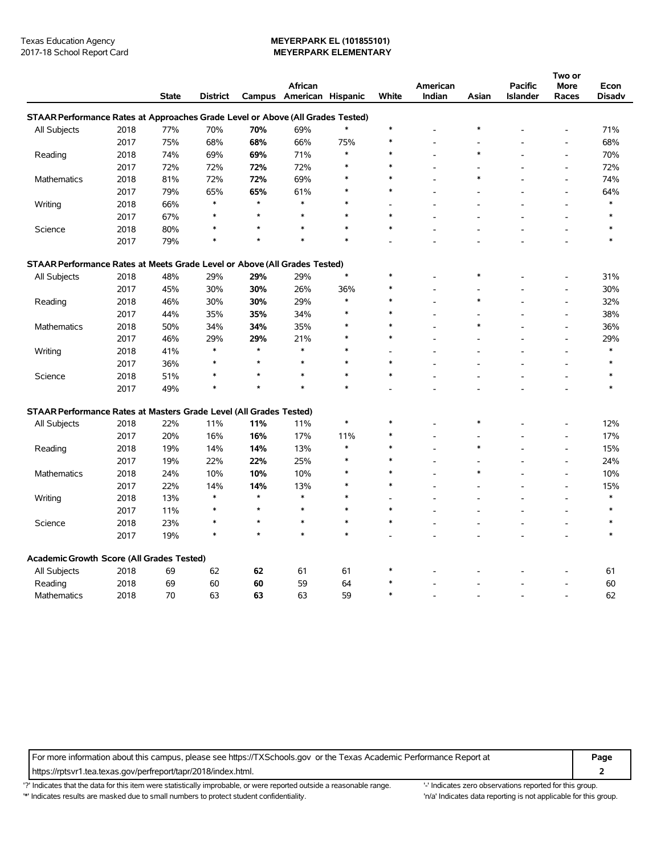#### Texas Education Agency **MEYERPARK EL (101855101)** 2017-18 School Report Card **MEYERPARK ELEMENTARY**

|                                                                                |      |              |                 |         |                          |        |                |          |        |                 | Two or                   |        |
|--------------------------------------------------------------------------------|------|--------------|-----------------|---------|--------------------------|--------|----------------|----------|--------|-----------------|--------------------------|--------|
|                                                                                |      |              |                 |         | African                  |        |                | American |        | <b>Pacific</b>  | More                     | Econ   |
|                                                                                |      | <b>State</b> | <b>District</b> |         | Campus American Hispanic |        | White          | Indian   | Asian  | <b>Islander</b> | Races                    | Disadv |
| STAAR Performance Rates at Approaches Grade Level or Above (All Grades Tested) |      |              |                 |         |                          |        |                |          |        |                 |                          |        |
| All Subjects                                                                   | 2018 | 77%          | 70%             | 70%     | 69%                      | $\ast$ | $\ast$         |          | $\ast$ |                 |                          | 71%    |
|                                                                                | 2017 | 75%          | 68%             | 68%     | 66%                      | 75%    | $\ast$         |          |        |                 | L,                       | 68%    |
| Reading                                                                        | 2018 | 74%          | 69%             | 69%     | 71%                      | $\ast$ | $\ast$         |          | $\ast$ |                 | $\overline{a}$           | 70%    |
|                                                                                | 2017 | 72%          | 72%             | 72%     | 72%                      | $\ast$ | $\ast$         |          |        |                 | $\overline{a}$           | 72%    |
| <b>Mathematics</b>                                                             | 2018 | 81%          | 72%             | 72%     | 69%                      | $\ast$ | $\ast$         |          | $\ast$ |                 | $\overline{a}$           | 74%    |
|                                                                                | 2017 | 79%          | 65%             | 65%     | 61%                      | $\ast$ | $\ast$         |          |        |                 | ÷,                       | 64%    |
| Writing                                                                        | 2018 | 66%          | $\ast$          | $\star$ | $\ast$                   | $\ast$ | $\overline{a}$ |          |        |                 | L,                       | $\ast$ |
|                                                                                | 2017 | 67%          | *               | $\star$ | $\ast$                   | $\ast$ | $\ast$         |          |        |                 | $\overline{\phantom{a}}$ |        |
| Science                                                                        | 2018 | 80%          | $\ast$          | $\star$ | $\ast$                   | $\ast$ | $\ast$         |          |        |                 | ÷.                       | ∗      |
|                                                                                | 2017 | 79%          | $\ast$          | $\star$ | $\ast$                   | $\ast$ |                |          |        |                 | L.                       | $\ast$ |
| STAAR Performance Rates at Meets Grade Level or Above (All Grades Tested)      |      |              |                 |         |                          |        |                |          |        |                 |                          |        |
| All Subjects                                                                   | 2018 | 48%          | 29%             | 29%     | 29%                      | $\ast$ | $\ast$         |          | $\ast$ |                 |                          | 31%    |
|                                                                                | 2017 | 45%          | 30%             | 30%     | 26%                      | 36%    | $\ast$         |          |        |                 | $\overline{a}$           | 30%    |
| Reading                                                                        | 2018 | 46%          | 30%             | 30%     | 29%                      | $\ast$ | $\ast$         |          | $\ast$ |                 | Ĭ.                       | 32%    |
|                                                                                | 2017 | 44%          | 35%             | 35%     | 34%                      | $\ast$ | $\ast$         |          |        |                 | $\overline{\phantom{a}}$ | 38%    |
| <b>Mathematics</b>                                                             | 2018 | 50%          | 34%             | 34%     | 35%                      | $\ast$ | $\ast$         |          | $\ast$ |                 | $\overline{a}$           | 36%    |
|                                                                                | 2017 | 46%          | 29%             | 29%     | 21%                      | $\ast$ | $\ast$         |          |        |                 | $\overline{a}$           | 29%    |
| Writing                                                                        | 2018 | 41%          | $\ast$          | $\star$ | $\ast$                   | $\ast$ | $\overline{a}$ |          |        |                 | $\overline{\phantom{a}}$ | $\ast$ |
|                                                                                | 2017 | 36%          | $\ast$          | $\star$ | $\ast$                   | $\ast$ | $\ast$         |          |        |                 | L,                       | $\ast$ |
| Science                                                                        | 2018 | 51%          | *               | $\star$ | $\ast$                   | $\ast$ | $\ast$         |          |        |                 | ÷,                       | *      |
|                                                                                | 2017 | 49%          | $\ast$          | $\star$ | $\ast$                   | $\ast$ |                |          |        |                 | ÷                        | $\ast$ |
| STAAR Performance Rates at Masters Grade Level (All Grades Tested)             |      |              |                 |         |                          |        |                |          |        |                 |                          |        |
| All Subjects                                                                   | 2018 | 22%          | 11%             | 11%     | 11%                      | $\ast$ | $\ast$         |          | $\ast$ |                 |                          | 12%    |
|                                                                                | 2017 | 20%          | 16%             | 16%     | 17%                      | 11%    | ∗              |          |        |                 | $\overline{\phantom{a}}$ | 17%    |
| Reading                                                                        | 2018 | 19%          | 14%             | 14%     | 13%                      | $\ast$ | $\ast$         |          | $\ast$ |                 | $\overline{a}$           | 15%    |
|                                                                                | 2017 | 19%          | 22%             | 22%     | 25%                      | $\ast$ | $\ast$         |          |        |                 | ÷,                       | 24%    |
| <b>Mathematics</b>                                                             | 2018 | 24%          | 10%             | 10%     | 10%                      | $\ast$ | $\ast$         |          | $\ast$ |                 | L,                       | 10%    |
|                                                                                | 2017 | 22%          | 14%             | 14%     | 13%                      | $\ast$ | $\ast$         |          |        |                 | $\overline{a}$           | 15%    |
| Writing                                                                        | 2018 | 13%          | $\ast$          | $\star$ | $\ast$                   | $\ast$ |                |          |        |                 | $\overline{\phantom{a}}$ | $\ast$ |
|                                                                                | 2017 | 11%          | $\ast$          | $\star$ | $\ast$                   | $\ast$ | $\ast$         |          |        |                 | ÷                        | $\ast$ |
| Science                                                                        | 2018 | 23%          | $\ast$          | $\star$ | $\ast$                   | $\ast$ | $\ast$         |          |        |                 | Ĭ.                       | $\ast$ |
|                                                                                | 2017 | 19%          | $\ast$          | $\star$ | $\ast$                   | $\ast$ |                |          |        |                 | $\overline{\phantom{a}}$ | $\ast$ |
| Academic Growth Score (All Grades Tested)                                      |      |              |                 |         |                          |        |                |          |        |                 |                          |        |
| All Subjects                                                                   | 2018 | 69           | 62              | 62      | 61                       | 61     | $\ast$         |          |        |                 |                          | 61     |
| Reading                                                                        | 2018 | 69           | 60              | 60      | 59                       | 64     | *              |          |        |                 | ÷,                       | 60     |
| Mathematics                                                                    | 2018 | 70           | 63              | 63      | 63                       | 59     | $\ast$         |          |        |                 | ÷.                       | 62     |

For more information about this campus, please see https://TXSchools.gov or the Texas Academic Performance Report at **Page**

https://rptsvr1.tea.texas.gov/perfreport/tapr/2018/index.html. **2**

'?' Indicates that the data for this item were statistically improbable, or were reported outside a reasonable range. '' Indicates zero observations reported for this group.

'\*' Indicates results are masked due to small numbers to protect student confidentiality. Moreover, the this group in/a' Indicates data reporting is not applicable for this group.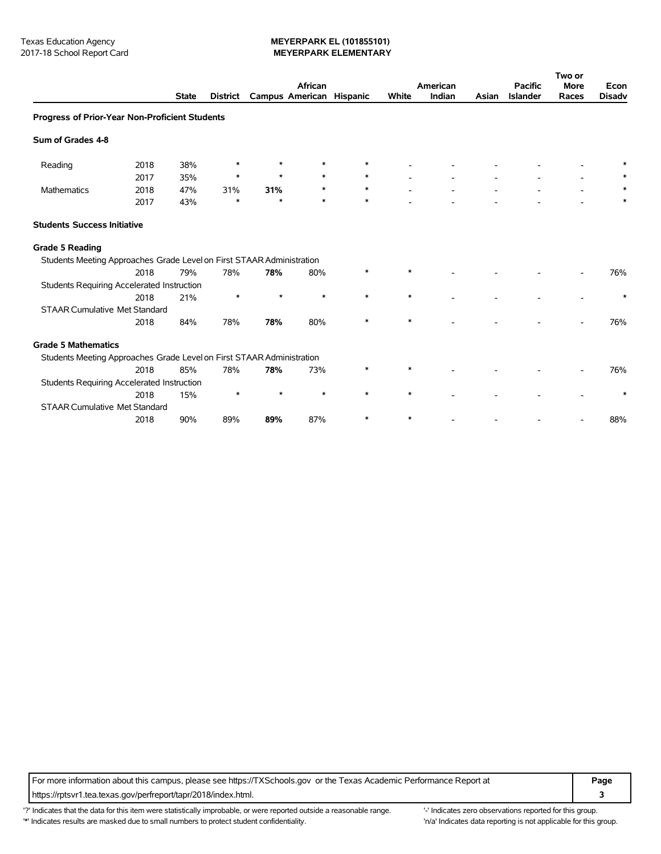### Texas Education Agency<br>
2017-18 School Report Card **MEYERPARK ELEMENTARY** 2017-18 School Report Card **MEYERPARK ELEMENTARY**

|                                                                       |      |              |                 | African                  |        |        | American |        |       | <b>Pacific</b>  | Two or<br><b>More</b> | Econ          |
|-----------------------------------------------------------------------|------|--------------|-----------------|--------------------------|--------|--------|----------|--------|-------|-----------------|-----------------------|---------------|
|                                                                       |      | <b>State</b> | <b>District</b> | Campus American Hispanic |        |        | White    | Indian | Asian | <b>Islander</b> | Races                 | <b>Disadv</b> |
| Progress of Prior-Year Non-Proficient Students                        |      |              |                 |                          |        |        |          |        |       |                 |                       |               |
| Sum of Grades 4-8                                                     |      |              |                 |                          |        |        |          |        |       |                 |                       |               |
| Reading                                                               | 2018 | 38%          | *               | $\star$                  |        | *      |          |        |       |                 |                       |               |
|                                                                       | 2017 | 35%          | *               | $\star$                  |        | $\ast$ |          |        |       |                 |                       |               |
| Mathematics                                                           | 2018 | 47%          | 31%             | 31%                      |        | *      |          |        |       |                 |                       |               |
|                                                                       | 2017 | 43%          | $\ast$          | ÷                        | $\ast$ | $\ast$ |          |        |       |                 |                       |               |
| <b>Students Success Initiative</b>                                    |      |              |                 |                          |        |        |          |        |       |                 |                       |               |
| <b>Grade 5 Reading</b>                                                |      |              |                 |                          |        |        |          |        |       |                 |                       |               |
| Students Meeting Approaches Grade Level on First STAAR Administration |      |              |                 |                          |        |        |          |        |       |                 |                       |               |
|                                                                       | 2018 | 79%          | 78%             | 78%                      | 80%    |        |          |        |       |                 |                       | 76%           |
| <b>Students Requiring Accelerated Instruction</b>                     |      |              |                 |                          |        |        |          |        |       |                 |                       |               |
|                                                                       | 2018 | 21%          | $\ast$          | $\star$                  | $\ast$ | $\ast$ | $\ast$   |        |       |                 |                       | $\ast$        |
| <b>STAAR Cumulative Met Standard</b>                                  |      |              |                 |                          |        |        |          |        |       |                 |                       |               |
|                                                                       | 2018 | 84%          | 78%             | 78%                      | 80%    | *      | $\ast$   |        |       |                 |                       | 76%           |
| <b>Grade 5 Mathematics</b>                                            |      |              |                 |                          |        |        |          |        |       |                 |                       |               |
| Students Meeting Approaches Grade Level on First STAAR Administration |      |              |                 |                          |        |        |          |        |       |                 |                       |               |
|                                                                       | 2018 | 85%          | 78%             | 78%                      | 73%    | $\ast$ | $\ast$   |        |       |                 |                       | 76%           |
| <b>Students Requiring Accelerated Instruction</b>                     |      |              |                 |                          |        |        |          |        |       |                 |                       |               |
|                                                                       | 2018 | 15%          | ∗               | $\star$                  | $\ast$ | $\ast$ | $\ast$   |        |       |                 |                       | $\ast$        |
| <b>STAAR Cumulative Met Standard</b>                                  |      |              |                 |                          |        |        |          |        |       |                 |                       |               |
|                                                                       | 2018 | 90%          | 89%             | 89%                      | 87%    | $\ast$ | $\ast$   |        |       |                 |                       | 88%           |

For more information about this campus, please see https://TXSchools.gov or the Texas Academic Performance Report at **Page** https://rptsvr1.tea.texas.gov/perfreport/tapr/2018/index.html. **3**

'?' Indicates that the data for this item were statistically improbable, or were reported outside a reasonable range. "Indicates zero observations reported for this group. '\*' Indicates results are masked due to small numbers to protect student confidentiality. 'n/a' Indicates data reporting is not applicable for this group.